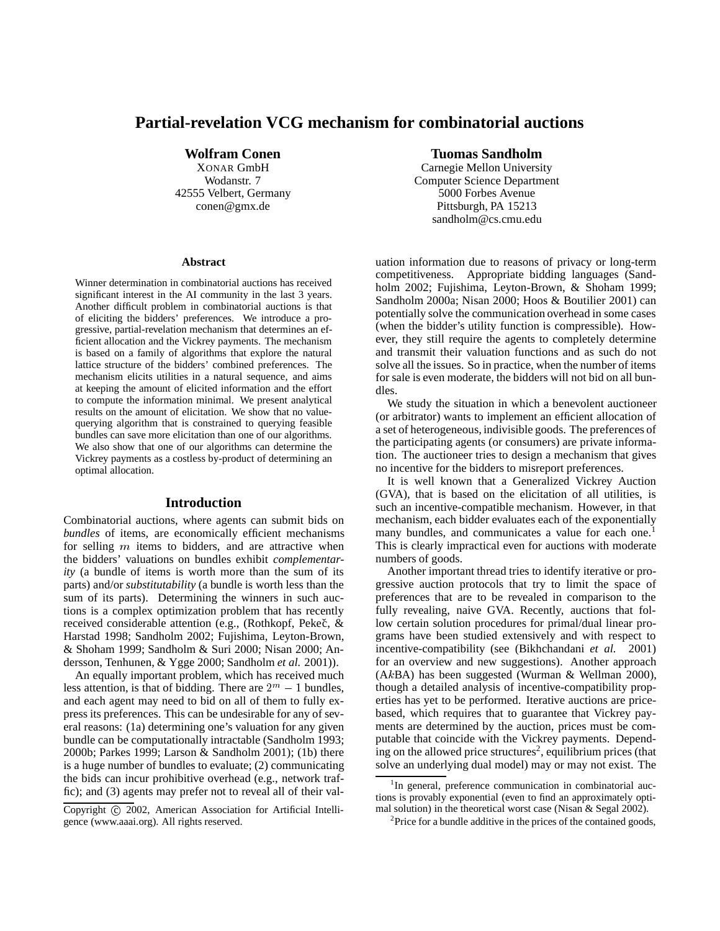# **Partial-revelation VCG mechanism for combinatorial auctions**

**Wolfram Conen**

XONAR GmbH Wodanstr. 7 42555 Velbert, Germany conen@gmx.de

#### **Abstract**

Winner determination in combinatorial auctions has received significant interest in the AI community in the last 3 years. Another difficult problem in combinatorial auctions is that of eliciting the bidders' preferences. We introduce a progressive, partial-revelation mechanism that determines an efficient allocation and the Vickrey payments. The mechanism is based on a family of algorithms that explore the natural lattice structure of the bidders' combined preferences. The mechanism elicits utilities in a natural sequence, and aims at keeping the amount of elicited information and the effort to compute the information minimal. We present analytical results on the amount of elicitation. We show that no valuequerying algorithm that is constrained to querying feasible bundles can save more elicitation than one of our algorithms. We also show that one of our algorithms can determine the Vickrey payments as a costless by-product of determining an optimal allocation.

## **Introduction**

Combinatorial auctions, where agents can submit bids on *bundles* of items, are economically efficient mechanisms for selling  $m$  items to bidders, and are attractive when the bidders' valuations on bundles exhibit *complementarity* (a bundle of items is worth more than the sum of its parts) and/or *substitutability* (a bundle is worth less than the sum of its parts). Determining the winners in such auctions is a complex optimization problem that has recently received considerable attention (e.g., (Rothkopf, Pekeč, & Harstad 1998; Sandholm 2002; Fujishima, Leyton-Brown, & Shoham 1999; Sandholm & Suri 2000; Nisan 2000; Andersson, Tenhunen, & Ygge 2000; Sandholm *et al.* 2001)).

An equally important problem, which has received much less attention, is that of bidding. There are  $2^m - 1$  bundles, and each agent may need to bid on all of them to fully express its preferences. This can be undesirable for any of several reasons: (1a) determining one's valuation for any given bundle can be computationally intractable (Sandholm 1993; 2000b; Parkes 1999; Larson & Sandholm 2001); (1b) there is a huge number of bundles to evaluate; (2) communicating the bids can incur prohibitive overhead (e.g., network traffic); and (3) agents may prefer not to reveal all of their val-

## **Tuomas Sandholm**

Carnegie Mellon University Computer Science Department 5000 Forbes Avenue Pittsburgh, PA 15213 sandholm@cs.cmu.edu

uation information due to reasons of privacy or long-term competitiveness. Appropriate bidding languages (Sandholm 2002; Fujishima, Leyton-Brown, & Shoham 1999; Sandholm 2000a; Nisan 2000; Hoos & Boutilier 2001) can potentially solve the communication overhead in some cases (when the bidder's utility function is compressible). However, they still require the agents to completely determine and transmit their valuation functions and as such do not solve all the issues. So in practice, when the number of items for sale is even moderate, the bidders will not bid on all bundles.

We study the situation in which a benevolent auctioneer (or arbitrator) wants to implement an efficient allocation of a set of heterogeneous, indivisible goods. The preferences of the participating agents (or consumers) are private information. The auctioneer tries to design a mechanism that gives no incentive for the bidders to misreport preferences.

It is well known that a Generalized Vickrey Auction (GVA), that is based on the elicitation of all utilities, is such an incentive-compatible mechanism. However, in that mechanism, each bidder evaluates each of the exponentially many bundles, and communicates a value for each one.<sup>1</sup> This is clearly impractical even for auctions with moderate numbers of goods.

Another important thread tries to identify iterative or progressive auction protocols that try to limit the space of preferences that are to be revealed in comparison to the fully revealing, naive GVA. Recently, auctions that follow certain solution procedures for primal/dual linear programs have been studied extensively and with respect to incentive-compatibility (see (Bikhchandani *et al.* 2001) for an overview and new suggestions). Another approach (AkBA) has been suggested (Wurman & Wellman 2000), though a detailed analysis of incentive-compatibility properties has yet to be performed. Iterative auctions are pricebased, which requires that to guarantee that Vickrey payments are determined by the auction, prices must be computable that coincide with the Vickrey payments. Depending on the allowed price structures<sup>2</sup>, equilibrium prices (that solve an underlying dual model) may or may not exist. The

Copyright © 2002, American Association for Artificial Intelligence (www.aaai.org). All rights reserved.

<sup>&</sup>lt;sup>1</sup>In general, preference communication in combinatorial auctions is provably exponential (even to find an approximately optimal solution) in the theoretical worst case (Nisan & Segal 2002).

<sup>&</sup>lt;sup>2</sup>Price for a bundle additive in the prices of the contained goods,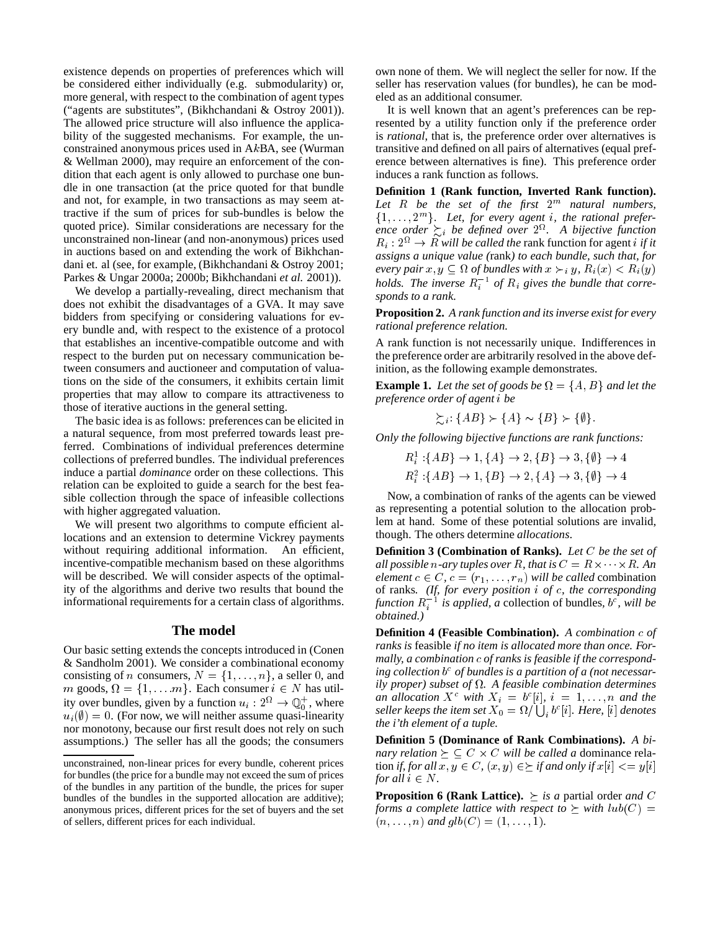existence depends on properties of preferences which will be considered either individually (e.g. submodularity) or, more general, with respect to the combination of agent types ("agents are substitutes", (Bikhchandani & Ostroy 2001)). The allowed price structure will also influence the applicability of the suggested mechanisms. For example, the unconstrained anonymous prices used in AkBA, see (Wurman & Wellman 2000), may require an enforcement of the condition that each agent is only allowed to purchase one bundle in one transaction (at the price quoted for that bundle and not, for example, in two transactions as may seem attractive if the sum of prices for sub-bundles is below the quoted price). Similar considerations are necessary for the unconstrained non-linear (and non-anonymous) prices used in auctions based on and extending the work of Bikhchandani et. al (see, for example, (Bikhchandani & Ostroy 2001; Parkes & Ungar 2000a; 2000b; Bikhchandani *et al.* 2001)).

We develop a partially-revealing, direct mechanism that does not exhibit the disadvantages of a GVA. It may save bidders from specifying or considering valuations for every bundle and, with respect to the existence of a protocol that establishes an incentive-compatible outcome and with respect to the burden put on necessary communication between consumers and auctioneer and computation of valuations on the side of the consumers, it exhibits certain limit properties that may allow to compare its attractiveness to those of iterative auctions in the general setting.

The basic idea is as follows: preferences can be elicited in a natural sequence, from most preferred towards least preferred. Combinations of individual preferences determine collections of preferred bundles. The individual preferences induce a partial *dominance* order on these collections. This relation can be exploited to guide a search for the best feasible collection through the space of infeasible collections with higher aggregated valuation.

We will present two algorithms to compute efficient allocations and an extension to determine Vickrey payments without requiring additional information. An efficient, incentive-compatible mechanism based on these algorithms will be described. We will consider aspects of the optimality of the algorithms and derive two results that bound the informational requirements for a certain class of algorithms.

## **The model**

Our basic setting extends the concepts introduced in (Conen & Sandholm 2001). We consider a combinational economy consisting of *n* consumers,  $N = \{1, \ldots, n\}$ , a seller 0, and m goods,  $\Omega = \{1, \ldots, m\}$ . Each consumer  $i \in N$  has utility over bundles, given by a function  $u_i : 2^{\Omega} \to \mathbb{Q}_0^+$ , where  $u_i(\emptyset)=0$ . (For now, we will neither assume quasi-linearity nor monotony, because our first result does not rely on such assumptions.) The seller has all the goods; the consumers

own none of them. We will neglect the seller for now. If the seller has reservation values (for bundles), he can be modeled as an additional consumer.

It is well known that an agent's preferences can be represented by a utility function only if the preference order is *rational*, that is, the preference order over alternatives is transitive and defined on all pairs of alternatives (equal preference between alternatives is fine). This preference order induces a rank function as follows.

**Definition 1 (Rank function, Inverted Rank function).** *Let* R *be the set of the first* 2m *natural numbers,*  $\{1,\ldots,2^m\}$ . Let, for every agent *i*, the rational preference order  $\sum_i$  be defined over  $2^{\Omega}$ . A bijective function  $R_i : 2^{\Omega} \rightarrow R$  *will be called the* rank function for agent *i if it assigns a unique value (*rank*) to each bundle, such that, for* every pair  $x, y \subseteq \Omega$  of bundles with  $x \succ_i y$ ,  $R_i(x) < R_i(y)$ *holds. The inverse*  $R_i^{-1}$  *of*  $R_i$  gives the bundle that corre*sponds to a rank.*

**Proposition 2.** *A rank function and its inverse exist for every rational preference relation.*

A rank function is not necessarily unique. Indifferences in the preference order are arbitrarily resolved in the above definition, as the following example demonstrates.

**Example 1.** *Let the set of goods be*  $\Omega = \{A, B\}$  *and let the*<br>*preference order of agent i be*<br> $\succsim_{\alpha}: \{AB\} \succ \{A\} \sim \{B\} \succ \{\emptyset\}.$ *preference order of agent* i *be*

$$
\succsim_{i}: \{AB\} \succ \{A\} \sim \{B\} \succ \{\emptyset\}.
$$

*Only the following bijective functions are rank functions:*

he following bijective functions are rank functions:<br>  $R_i^1: \{AB\} \rightarrow 1, \{A\} \rightarrow 2, \{B\} \rightarrow 3, \{\emptyset\} \rightarrow 4$  $R_1^2$ : {AB}  $\rightarrow 1$ , {B}  $\rightarrow 2$ , {A}  $\rightarrow 3$ , {0}  $\rightarrow 4$  $:\{AB\} \rightarrow 1, \{A\} \rightarrow 2, \{B\} \rightarrow 3, \{\emptyset\} \rightarrow 4$ <br> $:\{AB\} \rightarrow 1, \{B\} \rightarrow 2, \{A\} \rightarrow 3, \{\emptyset\} \rightarrow 4$ 

Now, a combination of ranks of the agents can be viewed as representing a potential solution to the allocation problem at hand. Some of these potential solutions are invalid, though. The others determine *allocations*.

**Definition 3 (Combination of Ranks).** Let C be the set of<br>  $\mathbb{R}^d$  **Definition 3 (Combination of Ranks).** Let C be the set of all possible n-ary tuples over R, that is  $C = R \times \cdots \times R$  . An *element*  $c \in C$ ,  $c = (r_1, \ldots, r_n)$  *will be called* combination of ranks*. (If, for every position* i *of* c*, the corresponding*  $function R_i^{-1}$  *is applied, a* collection of bundles,  $b^c$ , will be *obtained.)*

**Definition 4 (Feasible Combination).** *A combination* c *of ranks is* feasible *if no item is allocated more than once. Formally, a combination* c *of ranks is feasible if the corresponding collection* b <sup>c</sup> *of bundles is a partition of a (not necessarily proper) subset of . A feasible combination determines an allocation*  $X^c$  *with*  $X_i = b^c[i], i = 1, \ldots, n$  *and the* seller keeps the item set  $X_0 = \Omega/\bigcup_i b^c[i].$  Here,  $[i]$  denotes *the i'th element of a tuple.*

**Definition 5 (Dominance of Rank Combinations).** *A bi*the *i'th element of a tuple.*<br>**Definition 5 (Dominance of Ran**<br>nary relation  $\succeq \subseteq C \times C$  will be *nary relation*  $\succeq \subseteq C \times C$  *will be called a dominance rela*tion *if, for all*  $x, y \in C$ *,*  $(x, y) \in \Sigma$  *if and only if*  $x[i] \le y[i]$ *for all*  $i \in N$ *.* 

**Proposition 6 (Rank Lattice).**  $\succeq$  *is a* partial order *and* C *forms a complete lattice with respect to*  $\succeq$  *with*  $lub(C)$  =  $(n, \ldots, n)$  and  $glb(C) = (1, \ldots, 1)$ .

unconstrained, non-linear prices for every bundle, coherent prices for bundles (the price for a bundle may not exceed the sum of prices of the bundles in any partition of the bundle, the prices for super bundles of the bundles in the supported allocation are additive); anonymous prices, different prices for the set of buyers and the set of sellers, different prices for each individual.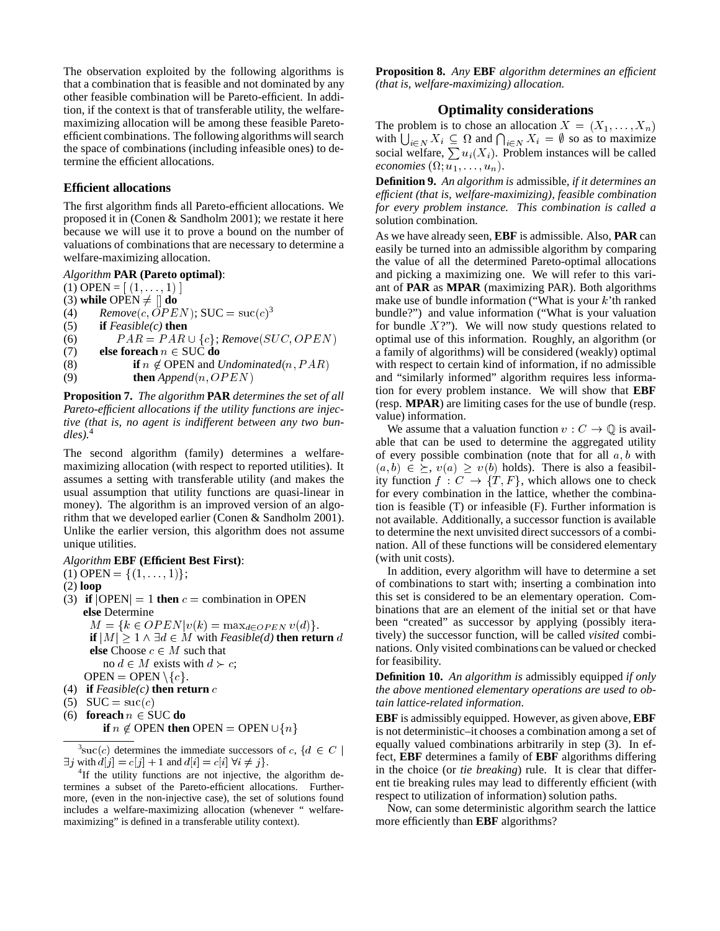The observation exploited by the following algorithms is that a combination that is feasible and not dominated by any other feasible combination will be Pareto-efficient. In addition, if the context is that of transferable utility, the welfaremaximizing allocation will be among these feasible Paretoefficient combinations. The following algorithms will search the space of combinations (including infeasible ones) to determine the efficient allocations.

#### **Efficient allocations**

The first algorithm finds all Pareto-efficient allocations. We proposed it in (Conen & Sandholm 2001); we restate it here because we will use it to prove a bound on the number of valuations of combinations that are necessary to determine a welfare-maximizing allocation.

*Algorithm* **PAR (Pareto optimal)**:

(1) OPEN =  $[(1, \ldots, 1)]$ 

(3) **while** OPEN  $\neq$   $\parallel$  **do** 

(4)  $Remove(c, \overline{O}PEN);$  SUC =  $suc(c)^3$ 

(5) **if** *Feasible(c)* **then**

(4) Remove(c,  $OPEN$ ); SUC = suc(c)<sup>3</sup><br>(5) **if** Feasible(c) **then**<br>(6)  $PAR = PAR \cup \{c\}$ ; Remove(SUC, OPEN)

(7) **else foreach**  $n \in \text{SUC}$  **do** 

- (8) **if**  $n \notin \text{OPEN}$  and *Undominated*(n, *PAR*)
- (9) **then**  $Append(n, OPEN)$

**Proposition 7.** *The algorithm* **PAR** *determines the set of all Pareto-efficient allocations if the utility functions are injective (that is, no agent is indifferent between any two bundles).*<sup>4</sup>

The second algorithm (family) determines a welfaremaximizing allocation (with respect to reported utilities). It assumes a setting with transferable utility (and makes the usual assumption that utility functions are quasi-linear in money). The algorithm is an improved version of an algorithm that we developed earlier (Conen & Sandholm 2001). Unlike the earlier version, this algorithm does not assume unique utilities.

#### *Algorithm* **EBF (Efficient Best First)**:

(1) OPEN = { $(1,...,1)$ };

(2) **loop**

- (3) **if**  $|OPEN| = 1$  **then**  $c =$  combination in OPEN **else** Determine  $M = \{k \in OPEN | v(k) = \max_{d \in OPEN} v(d)\}.$ **if**  $|M| \geq 1 \wedge \exists d \in M$  with *Feasible(d)* **then return** d **else** Choose  $c \in M$  such that no  $d \in M$  exists with  $d \succ c$ ;
- OPEN = OPEN \{ $c$ }.
- (4) **if** *Feasible(c)* **then return** c
- (5)  $SUC = succ(c)$
- (6) **foreach**  $n \in \text{SUC}$  **do**

**if**  $n \notin$  OPEN **then** OPEN = OPEN  $\cup \{n\}$ 

 $^3$ suc(c) determines the immediate successors of c, { $d \in C$  |  $^{\text{equ}}$  $\exists j$  with  $d[j] = c[j] + 1$  and  $d[i] = c[i] \ \forall i \neq j$ .

 ${}^{4}$ If the utility functions are not injective, the algorithm determines a subset of the Pareto-efficient allocations. Furthermore, (even in the non-injective case), the set of solutions found includes a welfare-maximizing allocation (whenever " welfaremaximizing" is defined in a transferable utility context).

**Proposition 8.** *Any* **EBF** *algorithm determines an efficient (that is, welfare-maximizing) allocation.*

## **Optimality considerations**

The problem is to chose an allocation  $X = (X_1, \ldots, X_n)$ with  $\bigcup_{i \in N} X_i \subseteq \Omega$  and  $\bigcap_{i \in N} X_i = \emptyset$  so as to maximize social welfare,  $\sum u_i(X_i)$ . Problem instances will be called *economies*  $(\Omega; u_1, \ldots, u_n)$ .

**Definition 9.** *An algorithm is* admissible*, if it determines an efficient (that is, welfare-maximizing), feasible combination for every problem instance. This combination is called a* solution combination*.*

As we have already seen, **EBF** is admissible. Also, **PAR** can easily be turned into an admissible algorithm by comparing the value of all the determined Pareto-optimal allocations and picking a maximizing one. We will refer to this variant of **PAR** as **MPAR** (maximizing PAR). Both algorithms make use of bundle information ("What is your  $k$ 'th ranked bundle?") and value information ("What is your valuation for bundle  $X$ ?"). We will now study questions related to optimal use of this information. Roughly, an algorithm (or a family of algorithms) will be considered (weakly) optimal with respect to certain kind of information, if no admissible and "similarly informed" algorithm requires less information for every problem instance. We will show that **EBF** (resp. **MPAR**) are limiting cases for the use of bundle (resp. value) information.

We assume that a valuation function  $v : C \to \mathbb{Q}$  is available that can be used to determine the aggregated utility of every possible combination (note that for all  $a, b$  with  $(a, b) \in \Sigma$ ,  $v(a) > v(b)$  holds). There is also a feasibility function  $f: C \to \{T, F\}$ , which allows one to check for every combination in the lattice, whether the combination is feasible (T) or infeasible (F). Further information is not available. Additionally, a successor function is available to determine the next unvisited direct successors of a combination. All of these functions will be considered elementary (with unit costs).

In addition, every algorithm will have to determine a set of combinations to start with; inserting a combination into this set is considered to be an elementary operation. Combinations that are an element of the initial set or that have been "created" as successor by applying (possibly iteratively) the successor function, will be called *visited* combinations. Only visited combinations can be valued or checked for feasibility.

**Definition 10.** *An algorithm is* admissibly equipped *if only the above mentioned elementary operations are used to obtain lattice-related information.*

**EBF** is admissibly equipped. However, as given above, **EBF** is not deterministic–it chooses a combination among a set of equally valued combinations arbitrarily in step (3). In effect, **EBF** determines a family of **EBF** algorithms differing in the choice (or *tie breaking*) rule. It is clear that different tie breaking rules may lead to differently efficient (with respect to utilization of information) solution paths.

Now, can some deterministic algorithm search the lattice more efficiently than **EBF** algorithms?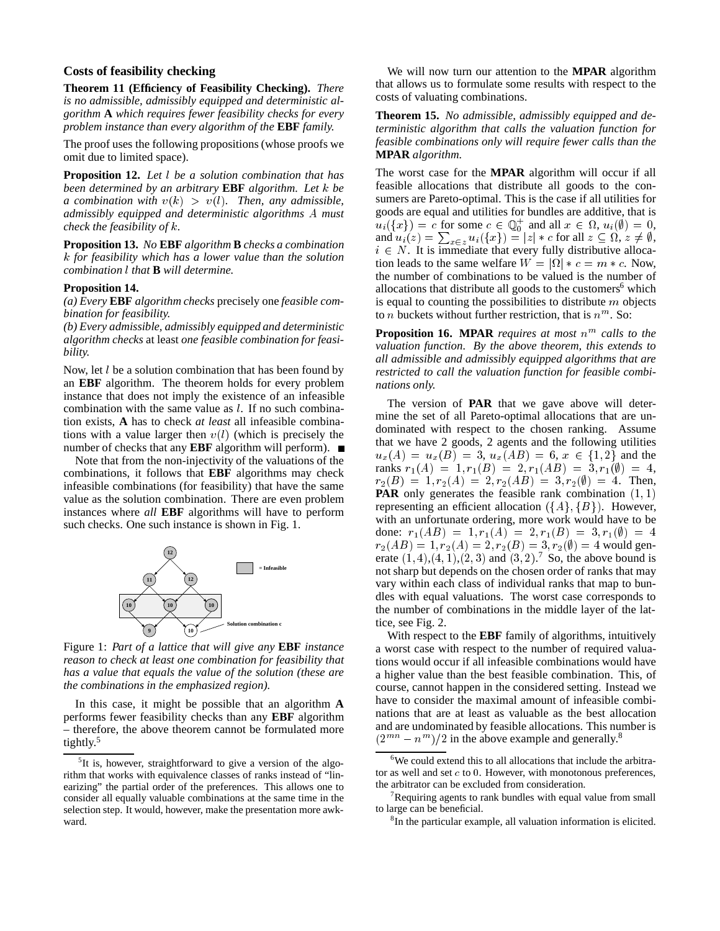#### **Costs of feasibility checking**

**Theorem 11 (Efficiency of Feasibility Checking).** *There is no admissible, admissibly equipped and deterministic algorithm* **A** *which requires fewer feasibility checks for every problem instance than every algorithm of the* **EBF** *family.*

The proof uses the following propositions (whose proofs we omit due to limited space).

**Proposition 12.** *Let* <sup>l</sup> *be a solution combination that has been determined by an arbitrary* **EBF** *algorithm. Let* k *be a combination with*  $v(k) > v(l)$ *. Then, any admissible, admissibly equipped and deterministic algorithms* A *must check the feasibility of* k*.*

**Proposition 13.** *No* **EBF** *algorithm* **B** *checks a combination* k *for feasibility which has a lower value than the solution combination* l *that* **B***will determine.*

#### **Proposition 14.**

*(a) Every* **EBF** *algorithm checks* precisely one *feasible combination for feasibility.*

*(b) Every admissible, admissibly equipped and deterministic algorithm checks* at least *one feasible combination for feasibility.*

Now, let  $l$  be a solution combination that has been found by an **EBF** algorithm. The theorem holds for every problem instance that does not imply the existence of an infeasible combination with the same value as l. If no such combination exists, **A** has to check *at least* all infeasible combinations with a value larger then  $v(l)$  (which is precisely the number of checks that any **EBF** algorithm will perform).

Note that from the non-injectivity of the valuations of the combinations, it follows that **EBF** algorithms may check infeasible combinations (for feasibility) that have the same value as the solution combination. There are even problem instances where *all* **EBF** algorithms will have to perform such checks. One such instance is shown in Fig. 1.



Figure 1: *Part of a lattice that will give any* **EBF** *instance reason to check at least one combination for feasibility that has a value that equals the value of the solution (these are the combinations in the emphasized region).*

In this case, it might be possible that an algorithm **A** performs fewer feasibility checks than any **EBF** algorithm – therefore, the above theorem cannot be formulated more tightly.<sup>5</sup>

We will now turn our attention to the **MPAR** algorithm that allows us to formulate some results with respect to the costs of valuating combinations.

**Theorem 15.** *No admissible, admissibly equipped and deterministic algorithm that calls the valuation function for feasible combinations only will require fewer calls than the* **MPAR** *algorithm.*

The worst case for the **MPAR** algorithm will occur if all feasible allocations that distribute all goods to the consumers are Pareto-optimal. This is the case if all utilities for goods are equal and utilities for bundles are additive, that is  $u_i({x}) = c$  for some  $c \in \mathbb{Q}_0^+$  and all  $x \in \Omega$ ,  $u_i(\emptyset) = 0$ , goods are equal and utilities for bundles are additive, that is  $u_i({x}) = c$  for some  $c \in \mathbb{Q}_0^+$  and all  $x \in \Omega$ ,  $u_i(\emptyset) = 0$ , and  $u_i(z) = \sum_{x \in z} u_i({x}) = |z| * c$  for all  $z \subseteq \Omega$ ,  $z \neq \emptyset$ , and  $u_i(z) = \sum_{x \in z} u_i({x}) = |z| * c$  for all  $z \subseteq \Omega, z \neq \emptyset$ ,<br>  $i \in N$ . It is immediate that every fully distributive allocation leads to the same welfare  $W = |\Omega| * c = m * c$ . Now, the number of combinations to be valued is the number of allocations that distribute all goods to the customers $6$  which is equal to counting the possibilities to distribute  $m$  objects to *n* buckets without further restriction, that is  $n^m$ . So:

**Proposition 16. MPAR** *requires at most*  $n^m$  calls to the *valuation function. By the above theorem, this extends to all admissible and admissibly equipped algorithms that are restricted to call the valuation function for feasible combinations only.*

The version of **PAR** that we gave above will determine the set of all Pareto-optimal allocations that are undominated with respect to the chosen ranking. Assume that we have 2 goods, 2 agents and the following utilities  $u_x(A) = u_x(B) = 3$ ,  $u_x(AB) = 6$ ,  $x \in \{1,2\}$  and the ranks  $r_1(A) = 1, r_1(B) = 2, r_1(AB) = 3, r_1(\emptyset) = 4,$  $r_2(B) = 1, r_2(A) = 2, r_2(AB) = 3, r_2(\emptyset) = 4.$  Then, **PAR** only generates the feasible rank combination  $(1, 1)$ representing an efficient allocation  $({A}, {B})$ . However, with an unfortunate ordering, more work would have to be done:  $r_1(AB) = 1, r_1(A) = 2, r_1(B) = 3, r_1(\emptyset) = 4$  $r_2(AB)=1, r_2(A)=2, r_2(B)=3, r_2(\emptyset)=4$  would generate  $(1, 4), (4, 1), (2, 3)$  and  $(3, 2)$ .<sup>7</sup> So, the above bound is not sharp but depends on the chosen order of ranks that may vary within each class of individual ranks that map to bundles with equal valuations. The worst case corresponds to the number of combinations in the middle layer of the lattice, see Fig. 2.

With respect to the **EBF** family of algorithms, intuitively a worst case with respect to the number of required valuations would occur if all infeasible combinations would have a higher value than the best feasible combination. This, of course, cannot happen in the considered setting. Instead we have to consider the maximal amount of infeasible combinations that are at least as valuable as the best allocation and are undominated by feasible allocations. This number is  $(2^{mn} - n^m)/2$  in the above example and generally.<sup>8</sup>

<sup>&</sup>lt;sup>5</sup>It is, however, straightforward to give a version of the algorithm that works with equivalence classes of ranks instead of "linearizing" the partial order of the preferences. This allows one to consider all equally valuable combinations at the same time in the selection step. It would, however, make the presentation more awkward.

<sup>&</sup>lt;sup>6</sup>We could extend this to all allocations that include the arbitrator as well and set  $c$  to  $0$ . However, with monotonous preferences, the arbitrator can be excluded from consideration.

<sup>&</sup>lt;sup>7</sup>Requiring agents to rank bundles with equal value from small to large can be beneficial.

<sup>&</sup>lt;sup>8</sup>In the particular example, all valuation information is elicited.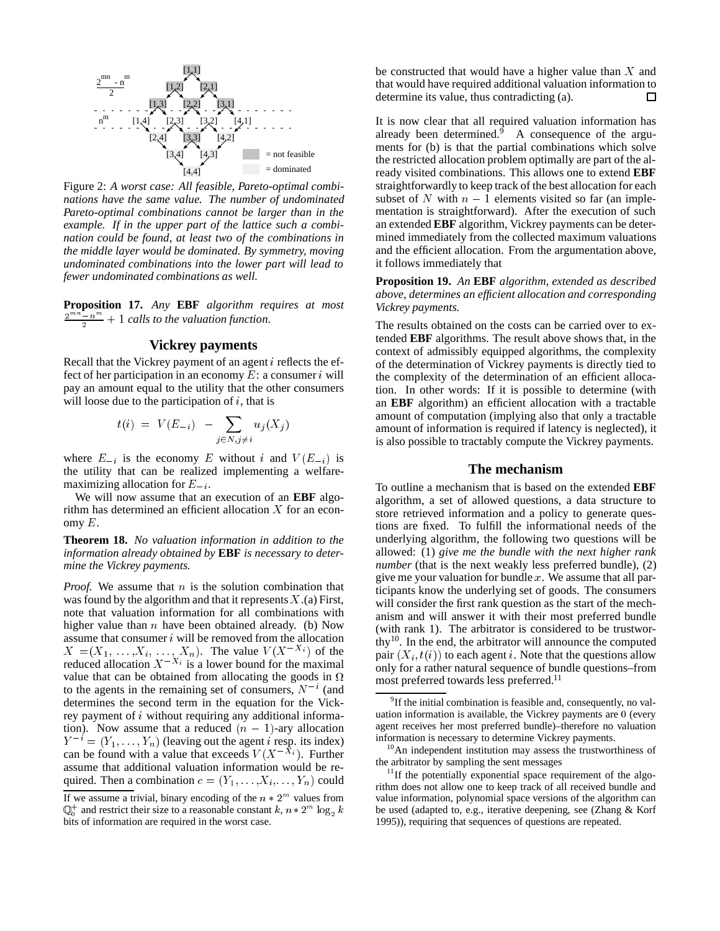

Figure 2: *A worst case: All feasible, Pareto-optimal combinations have the same value. The number of undominated Pareto-optimal combinations cannot be larger than in the example. If in the upper part of the lattice such a combination could be found, at least two of the combinations in the middle layer would be dominated. By symmetry, moving undominated combinations into the lower part will lead to fewer undominated combinations as well.*

**Proposition 17.** *Any* **EBF** *algorithm requires at most*  $\frac{2^{mn}-n^m}{2} + 1$  *calls to the valuation function.* 

#### **Vickrey payments**

Recall that the Vickrey payment of an agent i reflects the effect of her participation in an economy  $E$ : a consumer i will pay an amount equal to the utility that the other consumers will loose due to the participation of  $i$ , that is

$$
t(i) = V(E_{-i}) - \sum_{j \in N, j \neq i} u_j(X_j)
$$

where  $E_{-i}$  is the economy E without i and  $V(E_{-i})$  is the utility that can be realized implementing a welfaremaximizing allocation for  $E_{-i}$ .

We will now assume that an execution of an **EBF** algorithm has determined an efficient allocation X for an economy  $E$ .

**Theorem 18.** *No valuation information in addition to the information already obtained by* **EBF** *is necessary to determine the Vickrey payments.*

*Proof.* We assume that *n* is the solution combination that was found by the algorithm and that it represents  $X$ .(a) First, note that valuation information for all combinations with higher value than  $n$  have been obtained already. (b) Now assume that consumer  $i$  will be removed from the allocation  $X = (X_1, \ldots, X_i, \ldots, X_n)$ . The value  $V(X^{-X_i})$  of the reduced allocation  $X^{-X_i}$  is a lower bound for the maximal value that can be obtained from allocating the goods in  $\Omega$ to the agents in the remaining set of consumers,  $N^{-i}$  (and determines the second term in the equation for the Vickrey payment of i without requiring any additional information). Now assume that a reduced  $(n - 1)$ -ary allocation  $Y^{-i} = (Y_1, \ldots, Y_n)$  (leaving out the agent *i* resp. its index) can be found with a value that exceeds  $V(X - \hat{X_i})$ . Further assume that additional valuation information would be required. Then a combination  $c = (Y_1, \ldots, X_i, \ldots, Y_n)$  could

be constructed that would have a higher value than  $X$  and that would have required additional valuation information to determine its value, thus contradicting (a). П

It is now clear that all required valuation information has already been determined.<sup>9</sup> A consequence of the arguments for (b) is that the partial combinations which solve the restricted allocation problem optimally are part of the already visited combinations. This allows one to extend **EBF** straightforwardly to keep track of the best allocation for each subset of N with  $n - 1$  elements visited so far (an implementation is straightforward). After the execution of such an extended **EBF** algorithm, Vickrey payments can be determined immediately from the collected maximum valuations and the efficient allocation. From the argumentation above, it follows immediately that

**Proposition 19.** *An* **EBF** *algorithm, extended as described above, determines an efficient allocation and corresponding Vickrey payments.*

The results obtained on the costs can be carried over to extended **EBF** algorithms. The result above shows that, in the context of admissibly equipped algorithms, the complexity of the determination of Vickrey payments is directly tied to the complexity of the determination of an efficient allocation. In other words: If it is possible to determine (with an **EBF** algorithm) an efficient allocation with a tractable amount of computation (implying also that only a tractable amount of information is required if latency is neglected), it is also possible to tractably compute the Vickrey payments.

#### **The mechanism**

most preferred towards less preferred.<sup>11</sup> To outline a mechanism that is based on the extended **EBF** algorithm, a set of allowed questions, a data structure to store retrieved information and a policy to generate questions are fixed. To fulfill the informational needs of the underlying algorithm, the following two questions will be allowed: (1) *give me the bundle with the next higher rank number* (that is the next weakly less preferred bundle), (2) give me your valuation for bundle  $x$ . We assume that all participants know the underlying set of goods. The consumers will consider the first rank question as the start of the mechanism and will answer it with their most preferred bundle (with rank 1). The arbitrator is considered to be trustworthy<sup>10</sup>. In the end, the arbitrator will announce the computed pair  $(X_i, t(i))$  to each agent i. Note that the questions allow only for a rather natural sequence of bundle questions–from

If we assume a trivial, binary encoding of the  $n * 2^m$  values from  $\mathbb{Q}_0^+$  and restrict their size to a reasonable constant  $k$ ,  $n * 2^m \log_2 k$  be bits of information are required in the worst case.

<sup>&</sup>lt;sup>9</sup>If the initial combination is feasible and, consequently, no valuation information is available, the Vickrey payments are <sup>0</sup> (every agent receives her most preferred bundle)–therefore no valuation information is necessary to determine Vickrey payments.

<sup>&</sup>lt;sup>10</sup>An independent institution may assess the trustworthiness of the arbitrator by sampling the sent messages

 $11$ If the potentially exponential space requirement of the algorithm does not allow one to keep track of all received bundle and value information, polynomial space versions of the algorithm can be used (adapted to, e.g., iterative deepening, see (Zhang & Korf 1995)), requiring that sequences of questions are repeated.